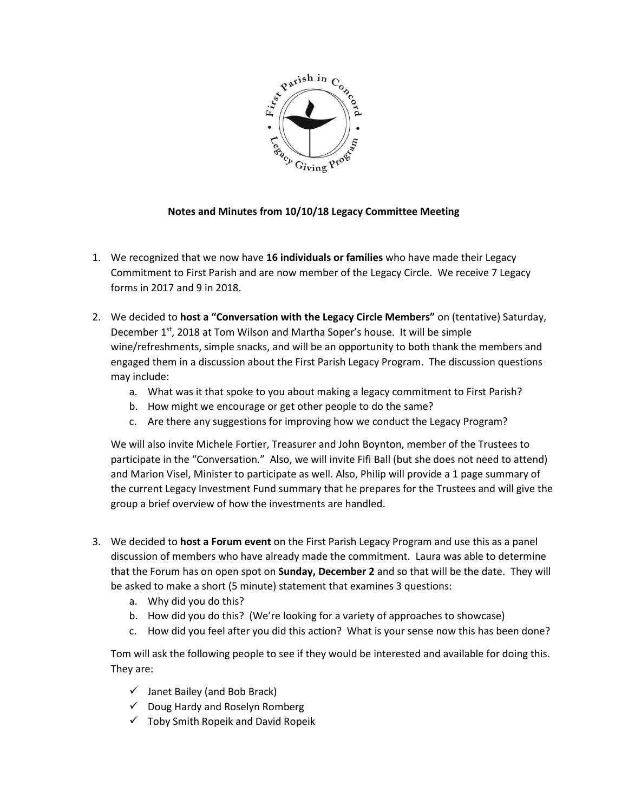

## **Notes and Minutes from 10/10/18 Legacy Committee Meeting**

- 1. We recognized that we now have **16 individuals or families** who have made their Legacy Commitment to First Parish and are now member of the Legacy Circle. We receive 7 Legacy forms in 2017 and 9 in 2018.
- 2. We decided to **host a "Conversation with the Legacy Circle Members"** on (tentative) Saturday, December 1<sup>st</sup>, 2018 at Tom Wilson and Martha Soper's house. It will be simple wine/refreshments, simple snacks, and will be an opportunity to both thank the members and engaged them in a discussion about the First Parish Legacy Program. The discussion questions may include:
	- a. What was it that spoke to you about making a legacy commitment to First Parish?
	- b. How might we encourage or get other people to do the same?
	- c. Are there any suggestions for improving how we conduct the Legacy Program?

We will also invite Michele Fortier, Treasurer and John Boynton, member of the Trustees to participate in the "Conversation." Also, we will invite Fifi Ball (but she does not need to attend) and Marion Visel, Minister to participate as well. Also, Philip will provide a 1 page summary of the current Legacy Investment Fund summary that he prepares for the Trustees and will give the group a brief overview of how the investments are handled.

- 3. We decided to **host a Forum event** on the First Parish Legacy Program and use this as a panel discussion of members who have already made the commitment. Laura was able to determine that the Forum has on open spot on **Sunday, December 2** and so that will be the date. They will be asked to make a short (5 minute) statement that examines 3 questions:
	- a. Why did you do this?
	- b. How did you do this? (We're looking for a variety of approaches to showcase)
	- c. How did you feel after you did this action? What is your sense now this has been done?

Tom will ask the following people to see if they would be interested and available for doing this. They are:

- $\checkmark$  Janet Bailey (and Bob Brack)
- $\checkmark$  Doug Hardy and Roselyn Romberg
- $\checkmark$  Toby Smith Ropeik and David Ropeik